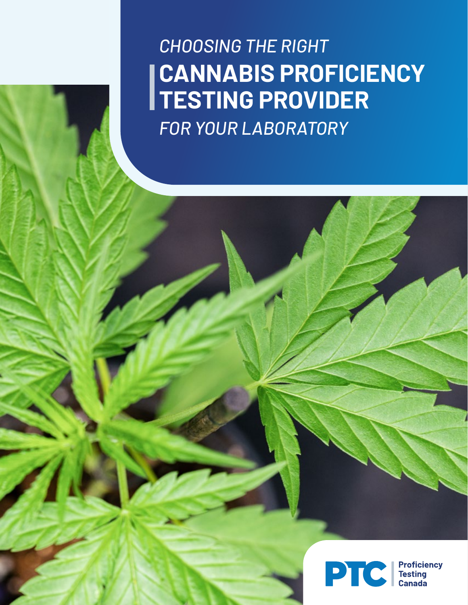*CHOOSING THE RIGHT* **CANNABIS PROFICIENCY TESTING PROVIDER** *FOR YOUR LABORATORY*

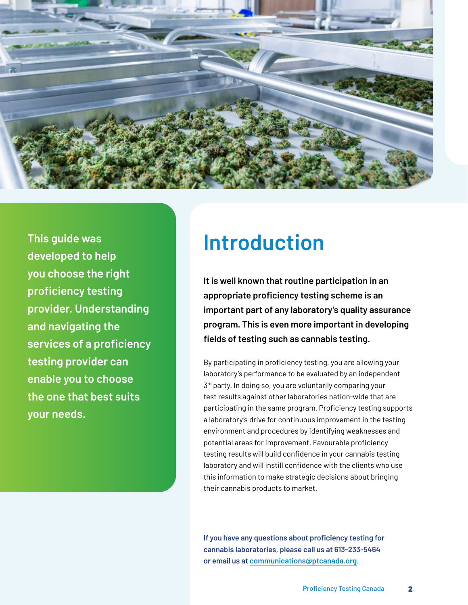

**Introduction This guide was developed to help you choose the right proficiency testing provider. Understanding and navigating the services of a proficiency testing provider can enable you to choose the one that best suits your needs.**

**It is well known that routine participation in an appropriate proficiency testing scheme is an important part of any laboratory's quality assurance program. This is even more important in developing fields of testing such as cannabis testing.**

By participating in proficiency testing, you are allowing your laboratory's performance to be evaluated by an independent  $3<sup>rd</sup>$  party. In doing so, you are voluntarily comparing your test results against other laboratories nation-wide that are participating in the same program. Proficiency testing supports a laboratory's drive for continuous improvement in the testing environment and procedures by identifying weaknesses and potential areas for improvement. Favourable proficiency testing results will build confidence in your cannabis testing laboratory and will instill confidence with the clients who use this information to make strategic decisions about bringing their cannabis products to market.

**If you have any questions about proficiency testing for cannabis laboratories, please call us at 613-233-5464 or email us at [communications@ptcanada.org](mailto:"communications@ptcanada.org")**.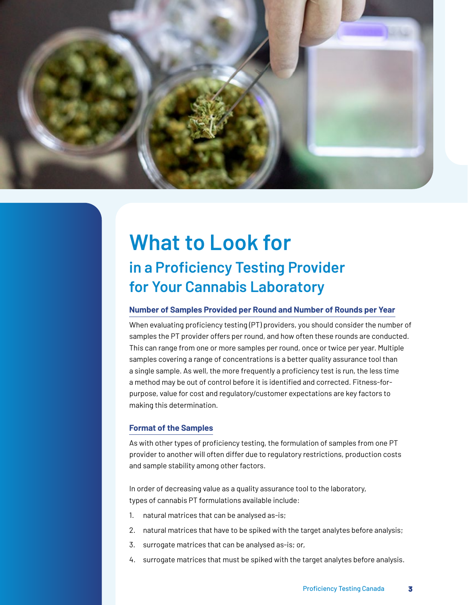

# **What to Look for in a Proficiency Testing Provider for Your Cannabis Laboratory**

#### **Number of Samples Provided per Round and Number of Rounds per Year**

When evaluating proficiency testing (PT) providers, you should consider the number of samples the PT provider offers per round, and how often these rounds are conducted. This can range from one or more samples per round, once or twice per year. Multiple samples covering a range of concentrations is a better quality assurance tool than a single sample. As well, the more frequently a proficiency test is run, the less time a method may be out of control before it is identified and corrected. Fitness-forpurpose, value for cost and regulatory/customer expectations are key factors to making this determination.

#### **Format of the Samples**

As with other types of proficiency testing, the formulation of samples from one PT provider to another will often differ due to regulatory restrictions, production costs and sample stability among other factors.

In order of decreasing value as a quality assurance tool to the laboratory, types of cannabis PT formulations available include:

- 1. natural matrices that can be analysed as-is;
- 2. natural matrices that have to be spiked with the target analytes before analysis;
- 3. surrogate matrices that can be analysed as-is; or,
- 4. surrogate matrices that must be spiked with the target analytes before analysis.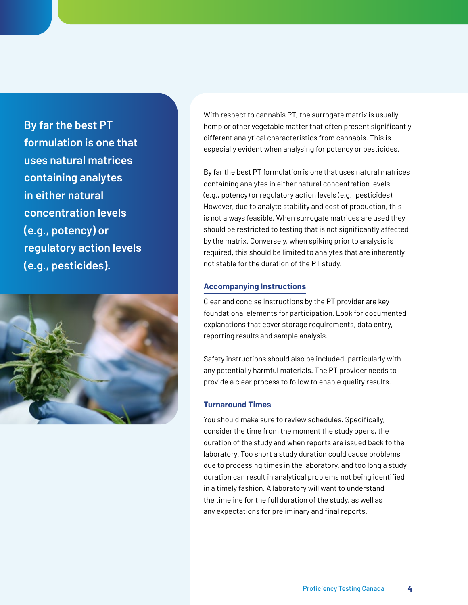**By far the best PT formulation is one that uses natural matrices containing analytes in either natural concentration levels (e.g., potency) or regulatory action levels (e.g., pesticides).**



With respect to cannabis PT, the surrogate matrix is usually hemp or other vegetable matter that often present significantly different analytical characteristics from cannabis. This is especially evident when analysing for potency or pesticides.

By far the best PT formulation is one that uses natural matrices containing analytes in either natural concentration levels (e.g., potency) or regulatory action levels (e.g., pesticides). However, due to analyte stability and cost of production, this is not always feasible. When surrogate matrices are used they should be restricted to testing that is not significantly affected by the matrix. Conversely, when spiking prior to analysis is required, this should be limited to analytes that are inherently not stable for the duration of the PT study.

#### **Accompanying Instructions**

Clear and concise instructions by the PT provider are key foundational elements for participation. Look for documented explanations that cover storage requirements, data entry, reporting results and sample analysis.

Safety instructions should also be included, particularly with any potentially harmful materials. The PT provider needs to provide a clear process to follow to enable quality results.

#### **Turnaround Times**

You should make sure to review schedules. Specifically, consider the time from the moment the study opens, the duration of the study and when reports are issued back to the laboratory. Too short a study duration could cause problems due to processing times in the laboratory, and too long a study duration can result in analytical problems not being identified in a timely fashion. A laboratory will want to understand the timeline for the full duration of the study, as well as any expectations for preliminary and final reports.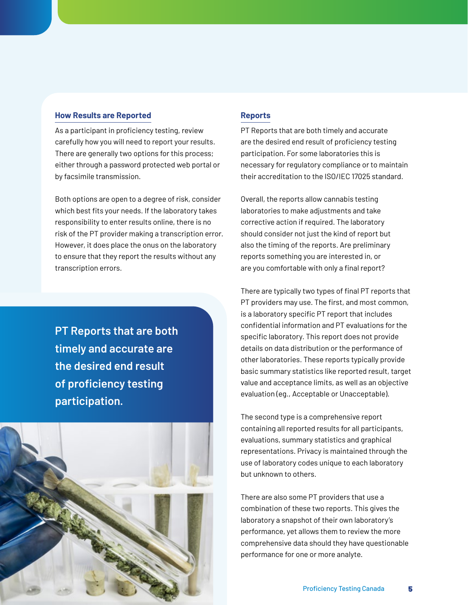#### **How Results are Reported**

As a participant in proficiency testing, review carefully how you will need to report your results. There are generally two options for this process; either through a password protected web portal or by facsimile transmission.

Both options are open to a degree of risk, consider which best fits your needs. If the laboratory takes responsibility to enter results online, there is no risk of the PT provider making a transcription error. However, it does place the onus on the laboratory to ensure that they report the results without any transcription errors.

**PT Reports that are both timely and accurate are the desired end result of proficiency testing participation.**



### **Reports**

PT Reports that are both timely and accurate are the desired end result of proficiency testing participation. For some laboratories this is necessary for regulatory compliance or to maintain their accreditation to the ISO/IEC 17025 standard.

Overall, the reports allow cannabis testing laboratories to make adjustments and take corrective action if required. The laboratory should consider not just the kind of report but also the timing of the reports. Are preliminary reports something you are interested in, or are you comfortable with only a final report?

There are typically two types of final PT reports that PT providers may use. The first, and most common, is a laboratory specific PT report that includes confidential information and PT evaluations for the specific laboratory. This report does not provide details on data distribution or the performance of other laboratories. These reports typically provide basic summary statistics like reported result, target value and acceptance limits, as well as an objective evaluation (eg., Acceptable or Unacceptable).

The second type is a comprehensive report containing all reported results for all participants, evaluations, summary statistics and graphical representations. Privacy is maintained through the use of laboratory codes unique to each laboratory but unknown to others.

There are also some PT providers that use a combination of these two reports. This gives the laboratory a snapshot of their own laboratory's performance, yet allows them to review the more comprehensive data should they have questionable performance for one or more analyte.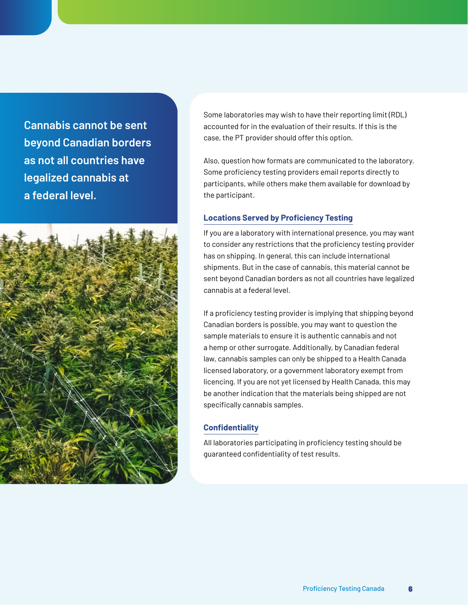**Cannabis cannot be sent beyond Canadian borders as not all countries have legalized cannabis at a federal level.**



Some laboratories may wish to have their reporting limit (RDL) accounted for in the evaluation of their results. If this is the case, the PT provider should offer this option.

Also, question how formats are communicated to the laboratory. Some proficiency testing providers email reports directly to participants, while others make them available for download by the participant.

### **Locations Served by Proficiency Testing**

If you are a laboratory with international presence, you may want to consider any restrictions that the proficiency testing provider has on shipping. In general, this can include international shipments. But in the case of cannabis, this material cannot be sent beyond Canadian borders as not all countries have legalized cannabis at a federal level.

If a proficiency testing provider is implying that shipping beyond Canadian borders is possible, you may want to question the sample materials to ensure it is authentic cannabis and not a hemp or other surrogate. Additionally, by Canadian federal law, cannabis samples can only be shipped to a Health Canada licensed laboratory, or a government laboratory exempt from licencing. If you are not yet licensed by Health Canada, this may be another indication that the materials being shipped are not specifically cannabis samples.

## **Confidentiality**

All laboratories participating in proficiency testing should be guaranteed confidentiality of test results.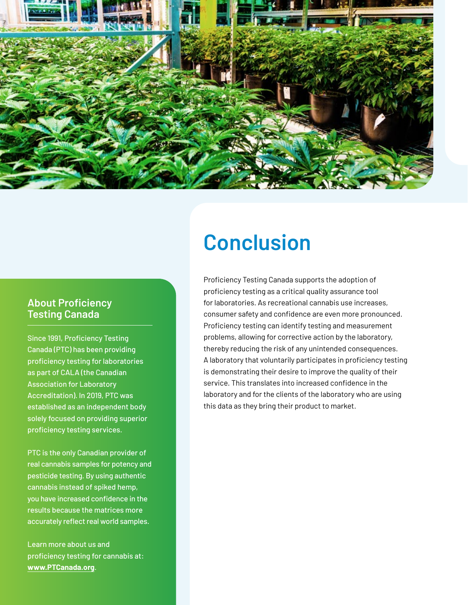

# **Conclusion**

# **About Proficiency Testing Canada**

Since 1991, Proficiency Testing Canada (PTC) has been providing proficiency testing for laboratories as part of CALA (the Canadian Association for Laboratory Accreditation). In 2019, PTC was established as an independent body solely focused on providing superior proficiency testing services.

PTC is the only Canadian provider of real cannabis samples for potency and pesticide testing. By using authentic cannabis instead of spiked hemp, you have increased confidence in the results because the matrices more accurately reflect real world samples.

Learn more about us and proficiency testing for cannabis at: **[www.PTCanada.org](https://www.ptcanada.org/)**.

Proficiency Testing Canada supports the adoption of proficiency testing as a critical quality assurance tool for laboratories. As recreational cannabis use increases, consumer safety and confidence are even more pronounced. Proficiency testing can identify testing and measurement problems, allowing for corrective action by the laboratory, thereby reducing the risk of any unintended consequences. A laboratory that voluntarily participates in proficiency testing is demonstrating their desire to improve the quality of their service. This translates into increased confidence in the laboratory and for the clients of the laboratory who are using this data as they bring their product to market.